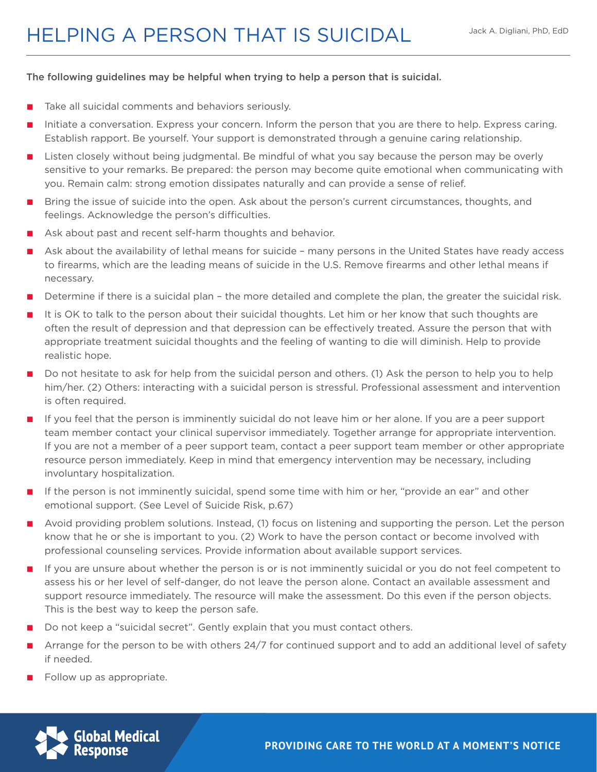## HELPING A PERSON THAT IS SUICIDAL

## The following guidelines may be helpful when trying to help a person that is suicidal.

- Take all suicidal comments and behaviors seriously.
- Initiate a conversation. Express your concern. Inform the person that you are there to help. Express caring. Establish rapport. Be yourself. Your support is demonstrated through a genuine caring relationship.
- Listen closely without being judgmental. Be mindful of what you say because the person may be overly sensitive to your remarks. Be prepared: the person may become quite emotional when communicating with you. Remain calm: strong emotion dissipates naturally and can provide a sense of relief.
- Bring the issue of suicide into the open. Ask about the person's current circumstances, thoughts, and feelings. Acknowledge the person's difficulties.
- Ask about past and recent self-harm thoughts and behavior.
- Ask about the availability of lethal means for suicide many persons in the United States have ready access to firearms, which are the leading means of suicide in the U.S. Remove firearms and other lethal means if necessary.
- Determine if there is a suicidal plan the more detailed and complete the plan, the greater the suicidal risk.
- It is OK to talk to the person about their suicidal thoughts. Let him or her know that such thoughts are often the result of depression and that depression can be effectively treated. Assure the person that with appropriate treatment suicidal thoughts and the feeling of wanting to die will diminish. Help to provide realistic hope.
- Do not hesitate to ask for help from the suicidal person and others. (1) Ask the person to help you to help him/her. (2) Others: interacting with a suicidal person is stressful. Professional assessment and intervention is often required.
- If you feel that the person is imminently suicidal do not leave him or her alone. If you are a peer support team member contact your clinical supervisor immediately. Together arrange for appropriate intervention. If you are not a member of a peer support team, contact a peer support team member or other appropriate resource person immediately. Keep in mind that emergency intervention may be necessary, including involuntary hospitalization.
- If the person is not imminently suicidal, spend some time with him or her, "provide an ear" and other emotional support. (See Level of Suicide Risk, p.67)
- Avoid providing problem solutions. Instead, (1) focus on listening and supporting the person. Let the person know that he or she is important to you. (2) Work to have the person contact or become involved with professional counseling services. Provide information about available support services.
- If you are unsure about whether the person is or is not imminently suicidal or you do not feel competent to assess his or her level of self-danger, do not leave the person alone. Contact an available assessment and support resource immediately. The resource will make the assessment. Do this even if the person objects. This is the best way to keep the person safe.
- Do not keep a "suicidal secret". Gently explain that you must contact others.
- Arrange for the person to be with others 24/7 for continued support and to add an additional level of safety if needed.
- Follow up as appropriate.